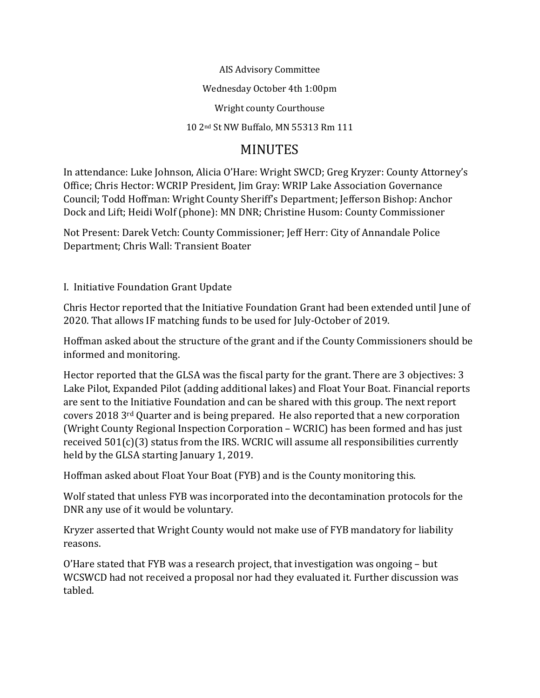AIS Advisory Committee

Wednesday October 4th 1:00pm

Wright county Courthouse

10 2nd St NW Buffalo, MN 55313 Rm 111

# MINUTES

In attendance: Luke Johnson, Alicia O'Hare: Wright SWCD; Greg Kryzer: County Attorney's Office; Chris Hector: WCRIP President, Jim Gray: WRIP Lake Association Governance Council; Todd Hoffman: Wright County Sheriff's Department; Jefferson Bishop: Anchor Dock and Lift; Heidi Wolf (phone): MN DNR; Christine Husom: County Commissioner

Not Present: Darek Vetch: County Commissioner; Jeff Herr: City of Annandale Police Department; Chris Wall: Transient Boater

I. Initiative Foundation Grant Update

Chris Hector reported that the Initiative Foundation Grant had been extended until June of 2020. That allows IF matching funds to be used for July-October of 2019.

Hoffman asked about the structure of the grant and if the County Commissioners should be informed and monitoring.

Hector reported that the GLSA was the fiscal party for the grant. There are 3 objectives: 3 Lake Pilot, Expanded Pilot (adding additional lakes) and Float Your Boat. Financial reports are sent to the Initiative Foundation and can be shared with this group. The next report covers 2018 3rd Quarter and is being prepared. He also reported that a new corporation (Wright County Regional Inspection Corporation – WCRIC) has been formed and has just received 501(c)(3) status from the IRS. WCRIC will assume all responsibilities currently held by the GLSA starting January 1, 2019.

Hoffman asked about Float Your Boat (FYB) and is the County monitoring this.

Wolf stated that unless FYB was incorporated into the decontamination protocols for the DNR any use of it would be voluntary.

Kryzer asserted that Wright County would not make use of FYB mandatory for liability reasons.

O'Hare stated that FYB was a research project, that investigation was ongoing – but WCSWCD had not received a proposal nor had they evaluated it. Further discussion was tabled.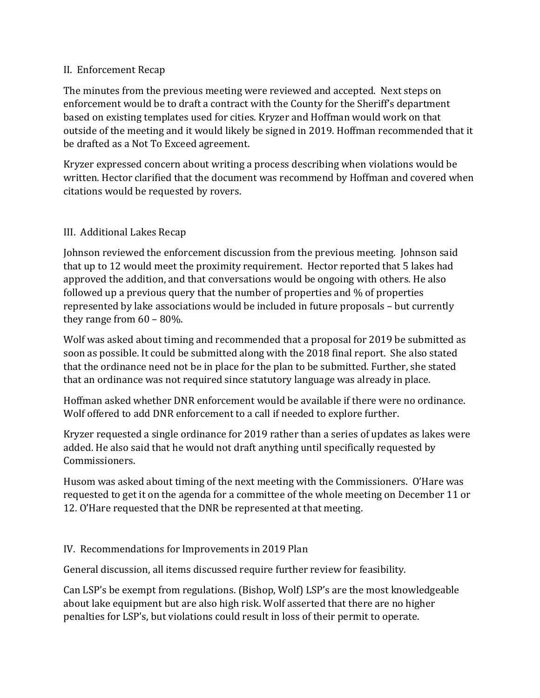#### II. Enforcement Recap

The minutes from the previous meeting were reviewed and accepted. Next steps on enforcement would be to draft a contract with the County for the Sheriff's department based on existing templates used for cities. Kryzer and Hoffman would work on that outside of the meeting and it would likely be signed in 2019. Hoffman recommended that it be drafted as a Not To Exceed agreement.

Kryzer expressed concern about writing a process describing when violations would be written. Hector clarified that the document was recommend by Hoffman and covered when citations would be requested by rovers.

## III. Additional Lakes Recap

Johnson reviewed the enforcement discussion from the previous meeting. Johnson said that up to 12 would meet the proximity requirement. Hector reported that 5 lakes had approved the addition, and that conversations would be ongoing with others. He also followed up a previous query that the number of properties and % of properties represented by lake associations would be included in future proposals – but currently they range from 60 – 80%.

Wolf was asked about timing and recommended that a proposal for 2019 be submitted as soon as possible. It could be submitted along with the 2018 final report. She also stated that the ordinance need not be in place for the plan to be submitted. Further, she stated that an ordinance was not required since statutory language was already in place.

Hoffman asked whether DNR enforcement would be available if there were no ordinance. Wolf offered to add DNR enforcement to a call if needed to explore further.

Kryzer requested a single ordinance for 2019 rather than a series of updates as lakes were added. He also said that he would not draft anything until specifically requested by Commissioners.

Husom was asked about timing of the next meeting with the Commissioners. O'Hare was requested to get it on the agenda for a committee of the whole meeting on December 11 or 12. O'Hare requested that the DNR be represented at that meeting.

## IV. Recommendations for Improvements in 2019 Plan

General discussion, all items discussed require further review for feasibility.

Can LSP's be exempt from regulations. (Bishop, Wolf) LSP's are the most knowledgeable about lake equipment but are also high risk. Wolf asserted that there are no higher penalties for LSP's, but violations could result in loss of their permit to operate.